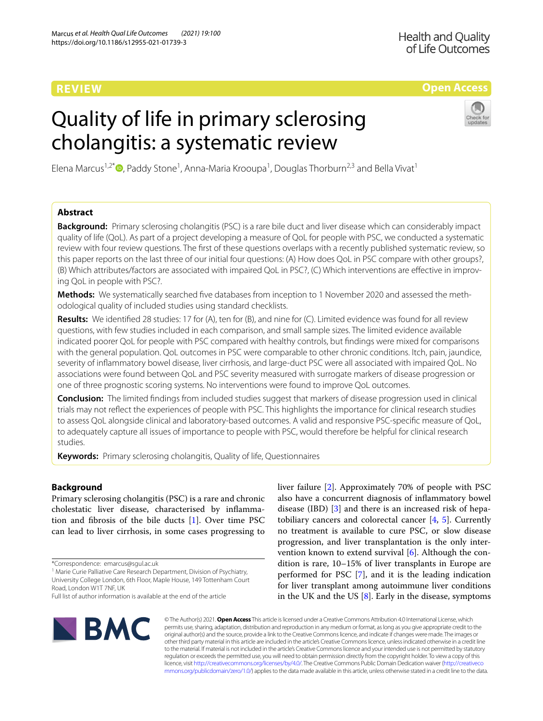# **REVIEW**

# **Open Access**

# Quality of life in primary sclerosing cholangitis: a systematic review



Elena Marcus<sup>1,2\*</sup><sup>®</sup>[,](http://orcid.org/0000-0003-0900-8976) Paddy Stone<sup>1</sup>, Anna-Maria Krooupa<sup>1</sup>, Douglas Thorburn<sup>2,3</sup> and Bella Vivat<sup>1</sup>

# **Abstract**

**Background:** Primary sclerosing cholangitis (PSC) is a rare bile duct and liver disease which can considerably impact quality of life (QoL). As part of a project developing a measure of QoL for people with PSC, we conducted a systematic review with four review questions. The frst of these questions overlaps with a recently published systematic review, so this paper reports on the last three of our initial four questions: (A) How does QoL in PSC compare with other groups?, (B) Which attributes/factors are associated with impaired QoL in PSC?, (C) Which interventions are effective in improving QoL in people with PSC?.

**Methods:** We systematically searched five databases from inception to 1 November 2020 and assessed the methodological quality of included studies using standard checklists.

**Results:** We identifed 28 studies: 17 for (A), ten for (B), and nine for (C). Limited evidence was found for all review questions, with few studies included in each comparison, and small sample sizes. The limited evidence available indicated poorer QoL for people with PSC compared with healthy controls, but fndings were mixed for comparisons with the general population. QoL outcomes in PSC were comparable to other chronic conditions. Itch, pain, jaundice, severity of infammatory bowel disease, liver cirrhosis, and large-duct PSC were all associated with impaired QoL. No associations were found between QoL and PSC severity measured with surrogate markers of disease progression or one of three prognostic scoring systems. No interventions were found to improve QoL outcomes.

**Conclusion:** The limited fndings from included studies suggest that markers of disease progression used in clinical trials may not refect the experiences of people with PSC. This highlights the importance for clinical research studies to assess QoL alongside clinical and laboratory-based outcomes. A valid and responsive PSC-specifc measure of QoL, to adequately capture all issues of importance to people with PSC, would therefore be helpful for clinical research studies.

**Keywords:** Primary sclerosing cholangitis, Quality of life, Questionnaires

# **Background**

Primary sclerosing cholangitis (PSC) is a rare and chronic cholestatic liver disease, characterised by infammation and fbrosis of the bile ducts [\[1](#page-15-0)]. Over time PSC can lead to liver cirrhosis, in some cases progressing to

\*Correspondence: emarcus@sgul.ac.uk

<sup>1</sup> Marie Curie Palliative Care Research Department, Division of Psychiatry, University College London, 6th Floor, Maple House, 149 Tottenham Court Road, London W1T 7NF, UK

liver failure [[2\]](#page-15-1). Approximately 70% of people with PSC also have a concurrent diagnosis of infammatory bowel disease (IBD) [\[3](#page-15-2)] and there is an increased risk of hepatobiliary cancers and colorectal cancer [\[4](#page-15-3), [5\]](#page-15-4). Currently no treatment is available to cure PSC, or slow disease progression, and liver transplantation is the only intervention known to extend survival [\[6](#page-15-5)]. Although the condition is rare, 10–15% of liver transplants in Europe are performed for PSC [[7\]](#page-15-6), and it is the leading indication for liver transplant among autoimmune liver conditions in the UK and the US [\[8](#page-15-7)]. Early in the disease, symptoms



© The Author(s) 2021. **Open Access** This article is licensed under a Creative Commons Attribution 4.0 International License, which permits use, sharing, adaptation, distribution and reproduction in any medium or format, as long as you give appropriate credit to the original author(s) and the source, provide a link to the Creative Commons licence, and indicate if changes were made. The images or other third party material in this article are included in the article's Creative Commons licence, unless indicated otherwise in a credit line to the material. If material is not included in the article's Creative Commons licence and your intended use is not permitted by statutory regulation or exceeds the permitted use, you will need to obtain permission directly from the copyright holder. To view a copy of this licence, visit [http://creativecommons.org/licenses/by/4.0/.](http://creativecommons.org/licenses/by/4.0/) The Creative Commons Public Domain Dedication waiver ([http://creativeco](http://creativecommons.org/publicdomain/zero/1.0/) [mmons.org/publicdomain/zero/1.0/](http://creativecommons.org/publicdomain/zero/1.0/)) applies to the data made available in this article, unless otherwise stated in a credit line to the data.

Full list of author information is available at the end of the article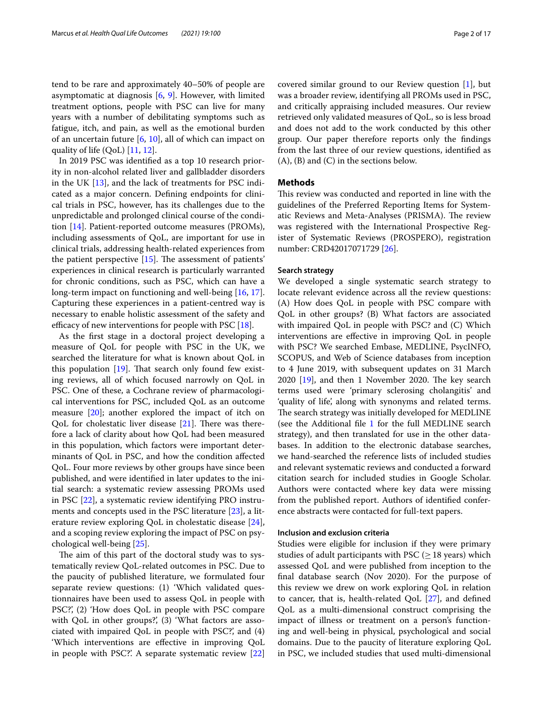tend to be rare and approximately 40–50% of people are asymptomatic at diagnosis [[6,](#page-15-5) [9](#page-15-8)]. However, with limited treatment options, people with PSC can live for many years with a number of debilitating symptoms such as fatigue, itch, and pain, as well as the emotional burden of an uncertain future [\[6](#page-15-5), [10\]](#page-15-9), all of which can impact on quality of life (QoL) [[11](#page-15-10), [12\]](#page-15-11).

In 2019 PSC was identifed as a top 10 research priority in non-alcohol related liver and gallbladder disorders in the UK [\[13](#page-15-12)], and the lack of treatments for PSC indicated as a major concern. Defning endpoints for clinical trials in PSC, however, has its challenges due to the unpredictable and prolonged clinical course of the condition [[14](#page-15-13)]. Patient-reported outcome measures (PROMs), including assessments of QoL, are important for use in clinical trials, addressing health-related experiences from the patient perspective  $[15]$  $[15]$ . The assessment of patients' experiences in clinical research is particularly warranted for chronic conditions, such as PSC, which can have a long-term impact on functioning and well-being [[16,](#page-15-15) [17](#page-15-16)]. Capturing these experiences in a patient-centred way is necessary to enable holistic assessment of the safety and efficacy of new interventions for people with PSC  $[18]$  $[18]$ .

As the frst stage in a doctoral project developing a measure of QoL for people with PSC in the UK, we searched the literature for what is known about QoL in this population  $[19]$  $[19]$ . That search only found few existing reviews, all of which focused narrowly on QoL in PSC. One of these, a Cochrane review of pharmacological interventions for PSC, included QoL as an outcome measure [\[20](#page-15-19)]; another explored the impact of itch on QoL for cholestatic liver disease  $[21]$ . There was therefore a lack of clarity about how QoL had been measured in this population, which factors were important determinants of QoL in PSC, and how the condition afected QoL. Four more reviews by other groups have since been published, and were identifed in later updates to the initial search: a systematic review assessing PROMs used in PSC [\[22](#page-15-21)], a systematic review identifying PRO instruments and concepts used in the PSC literature [[23](#page-15-22)], a literature review exploring QoL in cholestatic disease [\[24](#page-15-23)], and a scoping review exploring the impact of PSC on psychological well-being [[25\]](#page-15-24).

The aim of this part of the doctoral study was to systematically review QoL-related outcomes in PSC. Due to the paucity of published literature, we formulated four separate review questions: (1) 'Which validated questionnaires have been used to assess QoL in people with PSC?', (2) 'How does QoL in people with PSC compare with QoL in other groups?', (3) 'What factors are associated with impaired QoL in people with PSC?', and (4) 'Which interventions are efective in improving QoL in people with PSC?'. A separate systematic review [[22](#page-15-21)]

covered similar ground to our Review question [[1\]](#page-15-0), but was a broader review, identifying all PROMs used in PSC, and critically appraising included measures. Our review retrieved only validated measures of QoL, so is less broad and does not add to the work conducted by this other group. Our paper therefore reports only the fndings from the last three of our review questions, identifed as (A), (B) and (C) in the sections below.

# **Methods**

This review was conducted and reported in line with the guidelines of the Preferred Reporting Items for Systematic Reviews and Meta-Analyses (PRISMA). The review was registered with the International Prospective Register of Systematic Reviews (PROSPERO), registration number: CRD42017071729 [[26\]](#page-15-25).

#### **Search strategy**

We developed a single systematic search strategy to locate relevant evidence across all the review questions: (A) How does QoL in people with PSC compare with QoL in other groups? (B) What factors are associated with impaired QoL in people with PSC? and (C) Which interventions are efective in improving QoL in people with PSC? We searched Embase, MEDLINE, PsycINFO, SCOPUS, and Web of Science databases from inception to 4 June 2019, with subsequent updates on 31 March  $2020$  [[19](#page-15-18)], and then 1 November 2020. The key search terms used were 'primary sclerosing cholangitis' and 'quality of life', along with synonyms and related terms. The search strategy was initially developed for MEDLINE (see the Additional file [1](#page-14-0) for the full MEDLINE search strategy), and then translated for use in the other databases. In addition to the electronic database searches, we hand-searched the reference lists of included studies and relevant systematic reviews and conducted a forward citation search for included studies in Google Scholar. Authors were contacted where key data were missing from the published report. Authors of identifed conference abstracts were contacted for full-text papers.

# **Inclusion and exclusion criteria**

Studies were eligible for inclusion if they were primary studies of adult participants with PSC ( $\geq$  18 years) which assessed QoL and were published from inception to the fnal database search (Nov 2020). For the purpose of this review we drew on work exploring QoL in relation to cancer, that is, health-related QoL [[27](#page-15-26)], and defned QoL as a multi-dimensional construct comprising the impact of illness or treatment on a person's functioning and well-being in physical, psychological and social domains. Due to the paucity of literature exploring QoL in PSC, we included studies that used multi-dimensional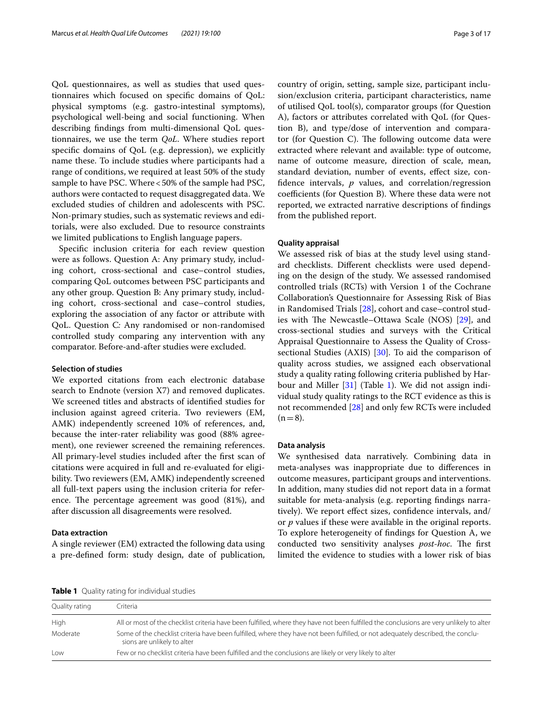QoL questionnaires, as well as studies that used questionnaires which focused on specifc domains of QoL: physical symptoms (e.g. gastro-intestinal symptoms), psychological well-being and social functioning. When describing fndings from multi-dimensional QoL questionnaires, we use the term *QoL*. Where studies report specifc domains of QoL (e.g. depression), we explicitly name these. To include studies where participants had a range of conditions, we required at least 50% of the study sample to have PSC. Where <50% of the sample had PSC, authors were contacted to request disaggregated data. We excluded studies of children and adolescents with PSC. Non-primary studies, such as systematic reviews and editorials, were also excluded. Due to resource constraints we limited publications to English language papers.

Specifc inclusion criteria for each review question were as follows. Question A: Any primary study, including cohort, cross-sectional and case–control studies, comparing QoL outcomes between PSC participants and any other group. Question B: Any primary study, including cohort, cross-sectional and case–control studies, exploring the association of any factor or attribute with QoL. Question C*:* Any randomised or non-randomised controlled study comparing any intervention with any comparator. Before-and-after studies were excluded.

#### **Selection of studies**

We exported citations from each electronic database search to Endnote (version X7) and removed duplicates. We screened titles and abstracts of identifed studies for inclusion against agreed criteria. Two reviewers (EM, AMK) independently screened 10% of references, and, because the inter-rater reliability was good (88% agreement), one reviewer screened the remaining references. All primary-level studies included after the frst scan of citations were acquired in full and re-evaluated for eligibility. Two reviewers (EM, AMK) independently screened all full-text papers using the inclusion criteria for reference. The percentage agreement was good  $(81\%)$ , and after discussion all disagreements were resolved.

# **Data extraction**

A single reviewer (EM) extracted the following data using a pre-defned form: study design, date of publication, country of origin, setting, sample size, participant inclusion/exclusion criteria, participant characteristics, name of utilised QoL tool(s), comparator groups (for Question A), factors or attributes correlated with QoL (for Question B), and type/dose of intervention and comparator (for Question C). The following outcome data were extracted where relevant and available: type of outcome, name of outcome measure, direction of scale, mean, standard deviation, number of events, efect size, confdence intervals, *p* values, and correlation/regression coefficients (for Question B). Where these data were not reported, we extracted narrative descriptions of fndings from the published report.

# **Quality appraisal**

We assessed risk of bias at the study level using standard checklists. Diferent checklists were used depending on the design of the study. We assessed randomised controlled trials (RCTs) with Version 1 of the Cochrane Collaboration's Questionnaire for Assessing Risk of Bias in Randomised Trials [[28](#page-15-27)], cohort and case–control stud-ies with The Newcastle–Ottawa Scale (NOS) [[29\]](#page-15-28), and cross-sectional studies and surveys with the Critical Appraisal Questionnaire to Assess the Quality of Crosssectional Studies (AXIS) [\[30](#page-15-29)]. To aid the comparison of quality across studies, we assigned each observational study a quality rating following criteria published by Harbour and Miller [[31](#page-15-30)] (Table [1](#page-2-0)). We did not assign individual study quality ratings to the RCT evidence as this is not recommended [[28\]](#page-15-27) and only few RCTs were included  $(n=8)$ .

#### **Data analysis**

We synthesised data narratively. Combining data in meta-analyses was inappropriate due to diferences in outcome measures, participant groups and interventions. In addition, many studies did not report data in a format suitable for meta-analysis (e.g. reporting fndings narratively). We report effect sizes, confidence intervals, and/ or *p* values if these were available in the original reports. To explore heterogeneity of fndings for Question A, we conducted two sensitivity analyses *post-hoc*. The first limited the evidence to studies with a lower risk of bias

<span id="page-2-0"></span>**Table 1** Quality rating for individual studies

| Quality rating | Criteria                                                                                                                                                        |
|----------------|-----------------------------------------------------------------------------------------------------------------------------------------------------------------|
| High           | All or most of the checklist criteria have been fulfilled, where they have not been fulfilled the conclusions are very unlikely to alter                        |
| Moderate       | Some of the checklist criteria have been fulfilled, where they have not been fulfilled, or not adequately described, the conclu-<br>sions are unlikely to alter |
| Low            | Few or no checklist criteria have been fulfilled and the conclusions are likely or very likely to alter                                                         |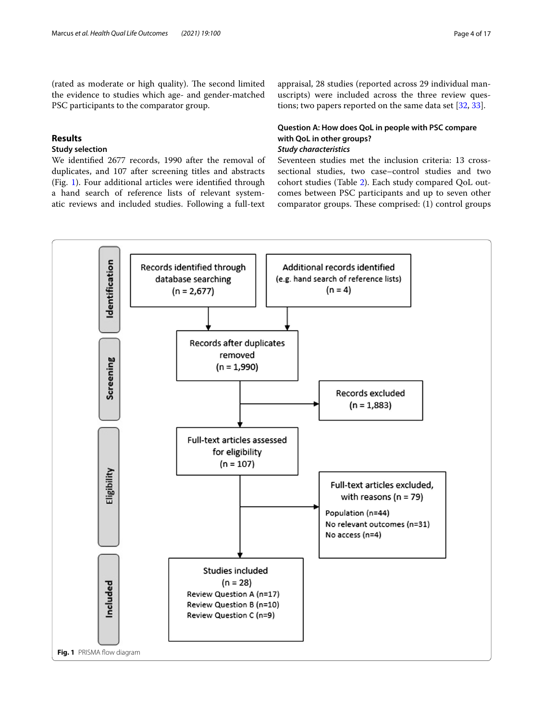(rated as moderate or high quality). The second limited the evidence to studies which age- and gender-matched PSC participants to the comparator group.

# **Results**

# **Study selection**

We identifed 2677 records, 1990 after the removal of duplicates, and 107 after screening titles and abstracts (Fig. [1](#page-3-0)). Four additional articles were identifed through a hand search of reference lists of relevant systematic reviews and included studies. Following a full-text

appraisal, 28 studies (reported across 29 individual manuscripts) were included across the three review questions; two papers reported on the same data set [\[32,](#page-15-31) [33](#page-15-32)].

# **Question A: How does QoL in people with PSC compare with QoL in other groups?**

# *Study characteristics*

Seventeen studies met the inclusion criteria: 13 crosssectional studies, two case–control studies and two cohort studies (Table [2\)](#page-4-0). Each study compared QoL outcomes between PSC participants and up to seven other comparator groups. These comprised:  $(1)$  control groups

<span id="page-3-0"></span>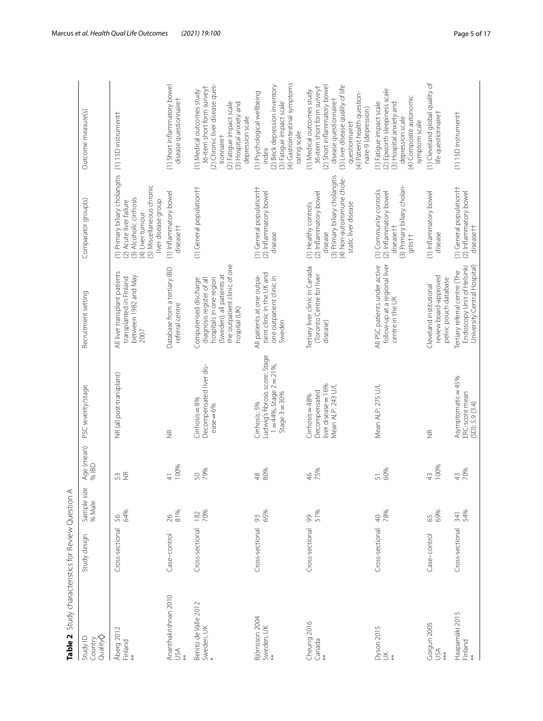<span id="page-4-0"></span>

| <b>NAME A</b> AND INTERNATIONAL CONTRACTOR CONTRACT A SHOW OF A SHOW OF A SHOW OF THE STATE OF A SHOW OF A SHOW OF THE STATE OF A SHOW OF A SHOW OF A SHOW OF A SHOW OF A SHOW OF A SHOW OF A SHOW OF A SHOW OF A SHOW OF A SHOW OF |                 |                       |                          |                                                                                                       |                                                                                                                                                              |                                                                                                                                                               |                                                                                                                                                                                                                                   |
|-------------------------------------------------------------------------------------------------------------------------------------------------------------------------------------------------------------------------------------|-----------------|-----------------------|--------------------------|-------------------------------------------------------------------------------------------------------|--------------------------------------------------------------------------------------------------------------------------------------------------------------|---------------------------------------------------------------------------------------------------------------------------------------------------------------|-----------------------------------------------------------------------------------------------------------------------------------------------------------------------------------------------------------------------------------|
| Quality<br>Study ID<br>Country                                                                                                                                                                                                      | Study design    | Sample size<br>% Male | Age (mean)<br>% IBD      | PSC severity/stage                                                                                    | Recruitment setting                                                                                                                                          | Comparator group(s)                                                                                                                                           | Outcome measure(s)                                                                                                                                                                                                                |
| Åberg 2012<br>Finland                                                                                                                                                                                                               | Cross-sectional | 64%<br>56             | $\frac{\alpha}{2}$<br>53 | NR (all post-transplant)                                                                              | All liver transplant patients<br>between 1982 and May<br>transplanted in Finland<br>2007                                                                     | (1) Primary biliary cholangitis<br>(5) Miscellaneous chronic<br>(3) Alcoholic cirrhosis<br>liver disease group<br>(2) Acute liver failure<br>(4) Liver tumour | (1) 15D instrument                                                                                                                                                                                                                |
| Ananthakrishnan 2010<br>USA                                                                                                                                                                                                         | Case-control    | 81%<br>$\frac{26}{5}$ | 100%<br>$\frac{4}{3}$    | $\frac{\alpha}{2}$                                                                                    | Database from a tertiary IBD<br>referral centre                                                                                                              | (1) Inflammatory bowel<br>diseasett                                                                                                                           | (1) Short inflammatory bowel<br>disease questionnairet                                                                                                                                                                            |
| Benito de Valle 2012<br>Sweden, UK                                                                                                                                                                                                  | Cross-sectional | 182<br>70%            | 79%<br>50                | Decompensated liver dis-<br>$Cirfrosis = 8%$<br>$e$ ase $= 6%$                                        | the outpatient clinic of one<br>(Sweden); all patients at<br>Computerised discharge<br>hospitals in one region<br>diagnosis register of all<br>hospital (UK) | (1) General population t                                                                                                                                      | (2) Chronic liver disease ques-<br>36-item short form survey+<br>(1) Medical outcomes study<br>(2) Fatigue impact scale<br>(3) Hospital anxiety and<br>depression scale<br>tionnairet                                             |
| Björnsson 2004<br>Sweden, UK<br>**                                                                                                                                                                                                  | Cross-sectional | 65%<br>93             | 80%<br>$\frac{8}{4}$     | Ludwig's fibrosis score: Stage<br>$1 = 44\%$ , Stage $2 = 21\%$ ,<br>Stage $3 = 30%$<br>Cirrhosis: 5% | tient clinic in the UK and<br>one outpatient clinic in<br>All patients at one outpa-<br>Sweden                                                               | (1) General population <sup>+</sup><br>(2) Inflammatory bowel<br>disease                                                                                      | (4) Gastrointestinal symptoms<br>(2) Beck depression inventory<br>(1) Psychological wellbeing<br>(3) Fatigue impact scale<br>rating scale<br>index                                                                                |
| Cheung 2016<br>Canada<br>**                                                                                                                                                                                                         | Cross-sectional | 51%<br>99             | 75%<br>$\frac{4}{6}$     | liver disease = 16%<br>Mean ALP: 243 U/L<br>Decompensated<br>Cirrhosis = 48%                          | Tertiary liver clinic in Canada<br>Toronto Centre for liver<br>disease)                                                                                      | (3) Primary biliary cholangitis<br>(4) Non-autoimmune chole-<br>(2) Inflammatory bowel<br>static liver disease<br>(1) Healthy controls<br>disease             | (2) Short inflammatory bowel<br>36-item short form surveyt<br>(3) Liver disease quality of life<br>(1) Medical outcomes study<br>(4) Patient health question-<br>disease questionnairet<br>naire-9 (depression)<br>questionnairet |
| Dyson 2015<br>UK                                                                                                                                                                                                                    | Cross-sectional | 78%<br>$\overline{a}$ | 60%<br>5                 | Mean ALP: 275 U/L                                                                                     | All PSC patients under active<br>follow-up at a regional liver<br>centre in the UK                                                                           | (3) Primary biliary cholan-<br>(1) Community controls<br>(2) Inflammatory bowel<br>diseasett<br>gitis <sup>++</sup>                                           | (2) Epworth sleepiness scale<br>(4) Composite autonomic<br>(1) Fatigue impact scale<br>(3) Hospital anxiety and<br>depression scale<br>symptom scale                                                                              |
| Gorgun 2005<br>USA<br>***                                                                                                                                                                                                           | Case-control    | 69%<br>65             | 100%<br>$\frac{43}{5}$   | $\frac{\alpha}{2}$                                                                                    | review board-approved<br>pelvic pouch database<br>Cleveland institutional                                                                                    | (1) Inflammatory bowel<br>disease                                                                                                                             | (1) Cleveland global quality of<br>life questionnairet                                                                                                                                                                            |
| Haapamäki 2015<br>Finland                                                                                                                                                                                                           | Cross-sectional | 341<br>54%            | 70%<br>$\overline{4}$    | Asymptomatic=45%<br>ERC-score mean<br>(SD): 5.9(3.4)                                                  | Endoscopy Unit of Helsinki<br>University Central Hospital)<br>Tertiary referral centre (The                                                                  | (1) General population t<br>(2) Inflammatory bowel<br>disease <sup>††</sup>                                                                                   | (1) 15D instrument                                                                                                                                                                                                                |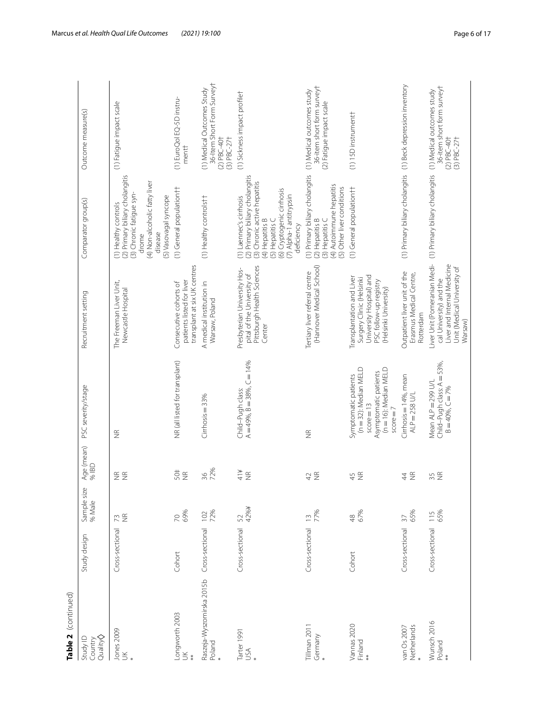| Table 2 (continued)                     |                 |                        |                                     |                                                                                                                                |                                                                                                                                      |                                                                                                                                                                                                        |                                                                                                        |
|-----------------------------------------|-----------------|------------------------|-------------------------------------|--------------------------------------------------------------------------------------------------------------------------------|--------------------------------------------------------------------------------------------------------------------------------------|--------------------------------------------------------------------------------------------------------------------------------------------------------------------------------------------------------|--------------------------------------------------------------------------------------------------------|
| Country<br>Quality <b>Q</b><br>Study ID | Study design    | Sample size<br>% Male  | Age (mean)<br>96 IBD                | PSC severity/stage                                                                                                             | Recruitment setting                                                                                                                  | Comparator group(s)                                                                                                                                                                                    | Outcome measure(s)                                                                                     |
| Jones 2009<br>UK                        | Cross-sectional | <b>ZE</b>              | E E                                 | $\frac{\alpha}{2}$                                                                                                             | The Freeman Liver Unit,<br>Newcastle Hospital                                                                                        | (2) Primary biliary cholangitis<br>(4) Non-alcoholic fatty liver<br>(3) Chronic fatigue syn-<br>(5) Vasovagal syncope<br>(1) Healthy controls<br>disease<br>drome                                      | (1) Fatigue impact scale                                                                               |
| -ongworth 2003<br>$\leq$                | Cohort          | <b>70</b><br>69%       | 50‡<br>$\widetilde{\Xi}$            | NR (all listed for transplant)                                                                                                 | transplant at six UK centres<br>patients listed for liver<br>Consecutive cohorts of                                                  | (1) General population††                                                                                                                                                                               | (1) EuroQol EQ-5D instru-<br>mentt                                                                     |
| Raszeja-Wyszomirska 2015b<br>Poland     | Cross-sectional | $102$<br>72%           | 72%<br>36                           | Cirrhosis = 33%                                                                                                                | A medical institution in<br>Warsaw, Poland                                                                                           | (1) Healthy controlstt                                                                                                                                                                                 | 36-Item Short Form Surveyt<br>(1) Medical Outcomes Study<br>$(2)$ PBC-40+<br>$(3)$ PBC-27 <sup>+</sup> |
| Tarter 1991<br>USA                      | Cross-sectional | 42%¥<br>52             | ¥1⊁<br>$\frac{\alpha}{2}$           | $A = 49\%$ , $B = 38\%$ , $C = 14\%$<br>Child-Pugh class:                                                                      | Pittsburgh Health Sciences<br>Presbyterian University Hos-<br>pital of the University of<br>Center                                   | (2) Primary biliary cholangitis<br>(3) Chronic active hepatitis<br>(6) Cryptogenic cirrhosis<br>(7) Alpha-1 antitrypsin<br>(1) Laennec's cirrhosis<br>(4) Hepatitis B<br>(5) Hepatitis C<br>deficiency | (1) Sickness impact profilet                                                                           |
| Fillman 2011<br>Germany                 | Cross-sectional | 77%<br>$\tilde{c}$     | $\widetilde{\Xi}$<br>$\overline{4}$ | $\widetilde{\Xi}$                                                                                                              | (Hannover Medical School)<br>Tertiary liver referral centre                                                                          | (1) Primary biliary cholangitis<br>(4) Autoimmune hepatitis<br>(5) Other liver conditions<br>(3) Hepatitis C<br>(2) Hepatitis B                                                                        | 36-item short form survey+<br>(1) Medical outcomes study<br>(2) Fatigue impact scale                   |
| Vannas 2020<br>Finland                  | Cohort          | 48<br>67%              | $\widetilde{\Xi}$<br>45             | (n = 32): Median MELD<br>(n = 16): Median MELD<br>Asymptomatic patients<br>Symptomatic patients<br>$score = 13$<br>$score = 7$ | University Hospital) and<br>Transplantation and Liver<br>Surgery Clinic (Helsinki<br>PSC follow-up registry<br>(Helsinki University) | (1) General population††                                                                                                                                                                               | (1) 15D instrument                                                                                     |
| Netherlands<br>*<br>van Os 2007         | Cross-sectional | 65%<br>$\overline{37}$ | $\widetilde{\Xi}$<br>$\ddot{4}$     | Cirrhosis = 14%, mean<br>$ALP = 258$ U/L                                                                                       | Outpatient liver unit of the<br>Erasmus Medical Centre,<br>Rotterdam                                                                 | (1) Primary biliary cholangitis                                                                                                                                                                        | (1) Beck depression inventory                                                                          |
| Wunsch 2016<br>Poland<br>$*$            | Cross-sectional | 65%<br>115             | $\widetilde{\Xi}$<br>35             | Child-Pugh class: A = 53%,<br>Mean ALP = 299 U/L<br>$B = 40%$ , $C = 7%$                                                       | Liver Unit (Pomeranian Medi-<br>Liver and Internal Medicine<br>Unit (Medical University of<br>cal University) and the<br>Warsaw)     | (1) Primary biliary cholangitis                                                                                                                                                                        | 36-item short form survey+<br>(1) Medical outcomes study<br>$(2) PBC-40+$<br>$(3) PBC-27+$             |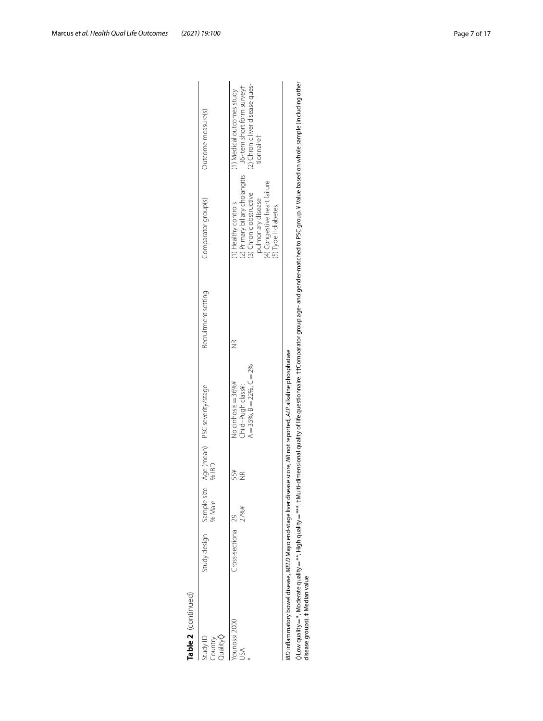| Table 2 (continued)                       |                          |        |           |                                                                                                                   |                     |                                                                                                                                                                                                                              |                                                                                                                                           |
|-------------------------------------------|--------------------------|--------|-----------|-------------------------------------------------------------------------------------------------------------------|---------------------|------------------------------------------------------------------------------------------------------------------------------------------------------------------------------------------------------------------------------|-------------------------------------------------------------------------------------------------------------------------------------------|
| $Quality \diamond$<br>Study ID<br>Country | Study design Sample size | % Male | %IBD      | Age (mean) PSC severity/stage                                                                                     | Recruitment setting | Comparator group(s)                                                                                                                                                                                                          | Outcome measure(s)                                                                                                                        |
| ounossi 2000<br>JSA                       | Cross-sectional 29       | 大%/    | ¥SS<br>JR | $A = 35\%$ , $B = 22\%$ , $C = 2\%$<br>No cirrhosis = 36%¥<br>Child-Pugh class¥:                                  |                     | (4) Congestive heart failure<br>(3) Chronic obstructive<br>pulmonary disease<br>I) Healthy controls<br>(5) Type II diabetes,                                                                                                 | (2) Chronic liver disease ques-<br>(2) Primary biliary cholangitis 36-item short form survey†<br>(1) Medical outcomes study<br>tionnairet |
| disease groups). ‡ Median value           |                          |        |           | BD inflammatory bowel disease, MELD Mayo end-stage liver disease score, MR not reported, ALP alkaline phosphatase |                     | ow quality=*, Moderate quality=***. Hilly d=***. *tMulti-dimensional quality of life questionnaire. ††Comparator group age- and gender-matched to PSC group. ¥ Value based on whole sample (including other) والماركة والمعا |                                                                                                                                           |

Table 2 (continued)

()Low quality = \*, Moderate quality = \*\*, High quality = \*\*\* . †Multi-dimensional quality of life questionnaire. ††Comparator group age- and gender-matched to PSC group. ¥ Value based on whole sample (including other<br>dis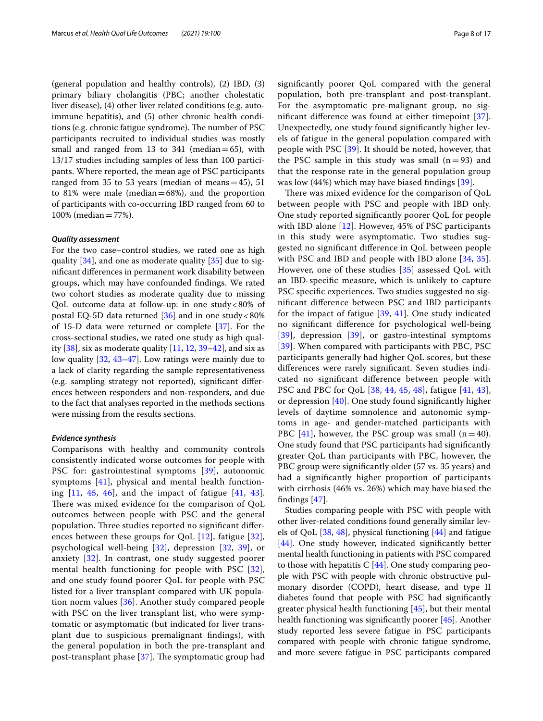(general population and healthy controls), (2) IBD, (3) primary biliary cholangitis (PBC; another cholestatic liver disease), (4) other liver related conditions (e.g. autoimmune hepatitis), and (5) other chronic health conditions (e.g. chronic fatigue syndrome). The number of PSC participants recruited to individual studies was mostly small and ranged from 13 to  $341$  (median=65), with 13/17 studies including samples of less than 100 participants. Where reported, the mean age of PSC participants ranged from 35 to 53 years (median of means =  $45$ ), 51 to 81% were male (median $=68\%$ ), and the proportion of participants with co-occurring IBD ranged from 60 to 100% (median=77%).

# *Quality assessment*

For the two case–control studies, we rated one as high quality [[34](#page-15-33)], and one as moderate quality [\[35\]](#page-16-0) due to signifcant diferences in permanent work disability between groups, which may have confounded fndings. We rated two cohort studies as moderate quality due to missing QoL outcome data at follow-up: in one study<80% of postal EQ-5D data returned  $[36]$  $[36]$  and in one study <80% of 15-D data were returned or complete [\[37](#page-16-2)]. For the cross-sectional studies, we rated one study as high quality  $[38]$  $[38]$  $[38]$ , six as moderate quality  $[11, 12, 39-42]$  $[11, 12, 39-42]$  $[11, 12, 39-42]$  $[11, 12, 39-42]$  $[11, 12, 39-42]$ , and six as low quality [[32,](#page-15-31) [43–](#page-16-6)[47\]](#page-16-7). Low ratings were mainly due to a lack of clarity regarding the sample representativeness (e.g. sampling strategy not reported), signifcant diferences between responders and non-responders, and due to the fact that analyses reported in the methods sections were missing from the results sections.

#### *Evidence synthesis*

Comparisons with healthy and community controls consistently indicated worse outcomes for people with PSC for: gastrointestinal symptoms [[39](#page-16-4)], autonomic symptoms [[41\]](#page-16-8), physical and mental health functioning  $[11, 45, 46]$  $[11, 45, 46]$  $[11, 45, 46]$  $[11, 45, 46]$  $[11, 45, 46]$  $[11, 45, 46]$ , and the impact of fatigue  $[41, 43]$  $[41, 43]$  $[41, 43]$ . There was mixed evidence for the comparison of QoL outcomes between people with PSC and the general population. Three studies reported no significant differences between these groups for QoL [\[12\]](#page-15-11), fatigue [[32\]](#page-15-31), psychological well-being [\[32](#page-15-31)], depression [[32](#page-15-31), [39](#page-16-4)], or anxiety [[32](#page-15-31)]. In contrast, one study suggested poorer mental health functioning for people with PSC [[32\]](#page-15-31), and one study found poorer QoL for people with PSC listed for a liver transplant compared with UK population norm values [[36](#page-16-1)]. Another study compared people with PSC on the liver transplant list, who were symptomatic or asymptomatic (but indicated for liver transplant due to suspicious premalignant fndings), with the general population in both the pre-transplant and post-transplant phase  $[37]$  $[37]$  $[37]$ . The symptomatic group had signifcantly poorer QoL compared with the general population, both pre-transplant and post-transplant. For the asymptomatic pre-malignant group, no significant difference was found at either timepoint  $[37]$  $[37]$ . Unexpectedly, one study found signifcantly higher levels of fatigue in the general population compared with people with PSC [[39](#page-16-4)]. It should be noted, however, that the PSC sample in this study was small  $(n=93)$  and that the response rate in the general population group was low (44%) which may have biased fndings [\[39](#page-16-4)].

There was mixed evidence for the comparison of QoL between people with PSC and people with IBD only. One study reported signifcantly poorer QoL for people with IBD alone [[12](#page-15-11)]. However, 45% of PSC participants in this study were asymptomatic. Two studies suggested no signifcant diference in QoL between people with PSC and IBD and people with IBD alone [\[34](#page-15-33), [35](#page-16-0)]. However, one of these studies [\[35](#page-16-0)] assessed QoL with an IBD-specifc measure, which is unlikely to capture PSC specifc experiences. Two studies suggested no signifcant diference between PSC and IBD participants for the impact of fatigue [[39](#page-16-4), [41\]](#page-16-8). One study indicated no signifcant diference for psychological well-being  $[39]$  $[39]$  $[39]$ , depression  $[39]$  $[39]$ , or gastro-intestinal symptoms [[39](#page-16-4)]. When compared with participants with PBC, PSC participants generally had higher QoL scores, but these diferences were rarely signifcant. Seven studies indicated no signifcant diference between people with PSC and PBC for QoL [[38,](#page-16-3) [44](#page-16-11), [45,](#page-16-9) [48](#page-16-12)], fatigue [\[41](#page-16-8), [43](#page-16-6)], or depression [\[40\]](#page-16-13). One study found signifcantly higher levels of daytime somnolence and autonomic symptoms in age- and gender-matched participants with PBC  $[41]$  $[41]$ , however, the PSC group was small  $(n=40)$ . One study found that PSC participants had signifcantly greater QoL than participants with PBC, however, the PBC group were significantly older (57 vs. 35 years) and had a signifcantly higher proportion of participants with cirrhosis (46% vs. 26%) which may have biased the findings  $[47]$  $[47]$ .

Studies comparing people with PSC with people with other liver-related conditions found generally similar levels of QoL  $[38, 48]$  $[38, 48]$  $[38, 48]$  $[38, 48]$ , physical functioning  $[44]$  $[44]$  and fatigue [[44\]](#page-16-11). One study however, indicated significantly better mental health functioning in patients with PSC compared to those with hepatitis  $C$  [[44\]](#page-16-11). One study comparing people with PSC with people with chronic obstructive pulmonary disorder (COPD), heart disease, and type II diabetes found that people with PSC had signifcantly greater physical health functioning [[45\]](#page-16-9), but their mental health functioning was signifcantly poorer [\[45](#page-16-9)]. Another study reported less severe fatigue in PSC participants compared with people with chronic fatigue syndrome, and more severe fatigue in PSC participants compared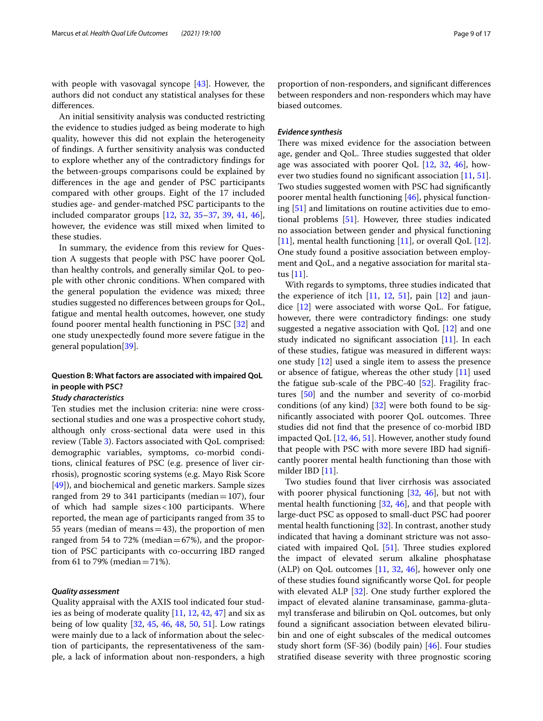with people with vasovagal syncope [[43\]](#page-16-6). However, the authors did not conduct any statistical analyses for these diferences.

An initial sensitivity analysis was conducted restricting the evidence to studies judged as being moderate to high quality, however this did not explain the heterogeneity of fndings. A further sensitivity analysis was conducted to explore whether any of the contradictory fndings for the between-groups comparisons could be explained by diferences in the age and gender of PSC participants compared with other groups. Eight of the 17 included studies age- and gender-matched PSC participants to the included comparator groups [[12](#page-15-11), [32](#page-15-31), [35–](#page-16-0)[37](#page-16-2), [39,](#page-16-4) [41,](#page-16-8) [46](#page-16-10)], however, the evidence was still mixed when limited to these studies.

In summary, the evidence from this review for Question A suggests that people with PSC have poorer QoL than healthy controls, and generally similar QoL to people with other chronic conditions. When compared with the general population the evidence was mixed; three studies suggested no diferences between groups for QoL, fatigue and mental health outcomes, however, one study found poorer mental health functioning in PSC [\[32](#page-15-31)] and one study unexpectedly found more severe fatigue in the general population[[39](#page-16-4)].

# **Question B: What factors are associated with impaired QoL in people with PSC?**

# *Study characteristics*

Ten studies met the inclusion criteria: nine were crosssectional studies and one was a prospective cohort study, although only cross-sectional data were used in this review (Table [3](#page-9-0)). Factors associated with QoL comprised: demographic variables, symptoms, co-morbid conditions, clinical features of PSC (e.g. presence of liver cirrhosis), prognostic scoring systems (e.g. Mayo Risk Score [[49\]](#page-16-14)), and biochemical and genetic markers. Sample sizes ranged from 29 to 341 participants (median=107), four of which had sample sizes<100 participants. Where reported, the mean age of participants ranged from 35 to 55 years (median of means=43), the proportion of men ranged from 54 to 72% (median $=67%$ ), and the proportion of PSC participants with co-occurring IBD ranged from 61 to 79% (median =  $71\%$ ).

# *Quality assessment*

Quality appraisal with the AXIS tool indicated four studies as being of moderate quality [[11](#page-15-10), [12,](#page-15-11) [42](#page-16-5), [47](#page-16-7)] and six as being of low quality [\[32](#page-15-31), [45](#page-16-9), [46,](#page-16-10) [48](#page-16-12), [50](#page-16-15), [51\]](#page-16-16). Low ratings were mainly due to a lack of information about the selection of participants, the representativeness of the sample, a lack of information about non-responders, a high proportion of non-responders, and signifcant diferences between responders and non-responders which may have biased outcomes.

### *Evidence synthesis*

There was mixed evidence for the association between age, gender and QoL. Three studies suggested that older age was associated with poorer QoL  $[12, 32, 46]$  $[12, 32, 46]$  $[12, 32, 46]$  $[12, 32, 46]$  $[12, 32, 46]$  $[12, 32, 46]$ , however two studies found no signifcant association [[11,](#page-15-10) [51](#page-16-16)]. Two studies suggested women with PSC had signifcantly poorer mental health functioning [[46\]](#page-16-10), physical functioning [\[51](#page-16-16)] and limitations on routine activities due to emotional problems [[51\]](#page-16-16). However, three studies indicated no association between gender and physical functioning [[11\]](#page-15-10), mental health functioning [11], or overall QoL [\[12](#page-15-11)]. One study found a positive association between employment and QoL, and a negative association for marital status [[11](#page-15-10)].

With regards to symptoms, three studies indicated that the experience of itch [[11,](#page-15-10) [12,](#page-15-11) [51\]](#page-16-16), pain [\[12](#page-15-11)] and jaundice [[12](#page-15-11)] were associated with worse QoL. For fatigue, however, there were contradictory fndings: one study suggested a negative association with QoL  $[12]$  $[12]$  $[12]$  and one study indicated no significant association  $[11]$  $[11]$ . In each of these studies, fatigue was measured in diferent ways: one study [[12](#page-15-11)] used a single item to assess the presence or absence of fatigue, whereas the other study [\[11](#page-15-10)] used the fatigue sub-scale of the PBC-40 [[52\]](#page-16-17). Fragility fractures [\[50](#page-16-15)] and the number and severity of co-morbid conditions (of any kind)  $\left[32\right]$  were both found to be significantly associated with poorer QoL outcomes. Three studies did not fnd that the presence of co-morbid IBD impacted QoL [\[12,](#page-15-11) [46](#page-16-10), [51\]](#page-16-16). However, another study found that people with PSC with more severe IBD had signifcantly poorer mental health functioning than those with milder IBD [[11\]](#page-15-10).

Two studies found that liver cirrhosis was associated with poorer physical functioning [[32,](#page-15-31) [46\]](#page-16-10), but not with mental health functioning [[32,](#page-15-31) [46\]](#page-16-10), and that people with large-duct PSC as opposed to small-duct PSC had poorer mental health functioning [[32\]](#page-15-31). In contrast, another study indicated that having a dominant stricture was not associated with impaired QoL  $[51]$  $[51]$ . Three studies explored the impact of elevated serum alkaline phosphatase (ALP) on QoL outcomes  $[11, 32, 46]$  $[11, 32, 46]$  $[11, 32, 46]$  $[11, 32, 46]$  $[11, 32, 46]$  $[11, 32, 46]$  $[11, 32, 46]$ , however only one of these studies found signifcantly worse QoL for people with elevated ALP [\[32](#page-15-31)]. One study further explored the impact of elevated alanine transaminase, gamma-glutamyl transferase and bilirubin on QoL outcomes, but only found a signifcant association between elevated bilirubin and one of eight subscales of the medical outcomes study short form (SF-36) (bodily pain) [[46](#page-16-10)]. Four studies stratifed disease severity with three prognostic scoring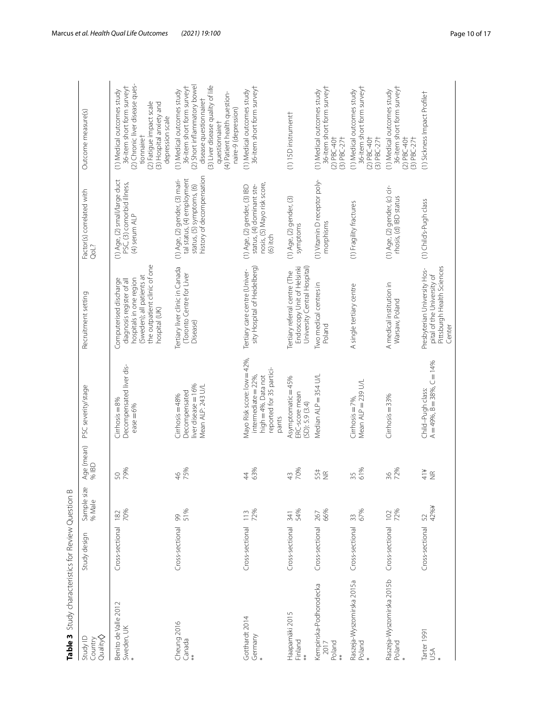| Table 3 Study characteristics for Review Question B |                 |                       |                          |                                                                                                                |                                                                                                                                                              |                                                                                                                        |                                                                                                                                                                                                                                   |
|-----------------------------------------------------|-----------------|-----------------------|--------------------------|----------------------------------------------------------------------------------------------------------------|--------------------------------------------------------------------------------------------------------------------------------------------------------------|------------------------------------------------------------------------------------------------------------------------|-----------------------------------------------------------------------------------------------------------------------------------------------------------------------------------------------------------------------------------|
| Quality<br>Study ID<br>Country                      | Study design    | Sample size<br>% Male | Age (mean)<br>% IBD      | PSC severity/stage                                                                                             | Recruitment setting                                                                                                                                          | Factor(s) correlated with<br>QoL?                                                                                      | Outcome measure(s)                                                                                                                                                                                                                |
| Benito de Valle 2012<br>Sweden, UK                  | Cross-sectional | 70%<br>182            | 79%<br>50                | Decompensated liver dis-<br>$Cirhosis = 8%$<br>$e$ as $e = 6%$                                                 | the outpatient clinic of one<br>(Sweden); all patients at<br>hospitals in one region<br>Computerised discharge<br>diagnosis register of all<br>hospital (UK) | (1) Age, (2) small/large duct<br>PSC, (3) comorbid illness,<br>(4) serum ALP                                           | (2) Chronic liver disease ques-<br>36-item short form surveyt<br>(1) Medical outcomes study<br>(2) Fatigue impact scale<br>(3) Hospital anxiety and<br>depression scale<br>tionnairet                                             |
| Cheung 2016<br>Canada<br>**                         | Cross-sectional | 51%<br>99             | 75%<br>$\frac{4}{6}$     | liver disease = 16%<br>Mean ALP: 243 U/L<br>Decompensated<br>$Cirrosis = 48%$                                  | Tertiary liver clinic in Canada<br>Toronto Centre for Liver<br>Disease)                                                                                      | history of decompensation<br>(1) Age, (2) gender, (3) mari-<br>tal status, (4) employment<br>status, (5) symptoms, (6) | (2) Short inflammatory bowel<br>(3) Liver disease quality of life<br>36-item short form surveyt<br>(1) Medical outcomes study<br>(4) Patient health question-<br>disease questionnairet<br>naire-9 (depression)<br>questionnairet |
| Gotthardt 2014<br>Germany                           | Cross-sectional | 72%                   | 63%<br>$\overline{4}$    | Mayo Risk score: low = 42%,<br>reported for 35 partici-<br>high=4%. Data not<br>intermediate $=$ 22%,<br>pants | sity Hospital of Heidelberg)<br>Tertiary care centre (Univer-                                                                                                | nosis, (5) Mayo risk score,<br>(1) Age, (2) gender, (3) IBD<br>status, (4) dominant ste-<br>$(6)$ itch                 | 36-item short form surveyt<br>(1) Medical outcomes study                                                                                                                                                                          |
| Haapamäki 2015<br>Finland<br>**                     | Cross-sectional | 54%<br>341            | 70%<br>43                | Asymptomatic = 45%<br>ERC-score mean<br>(SD): 5.9 (3.4)                                                        | Endoscopy Unit of Helsinki<br>University Central Hospital)<br>Tertiary referral centre (The                                                                  | (1) Age, (2) gender, (3)<br>symptoms                                                                                   | (1) 15D instrument+                                                                                                                                                                                                               |
| Kempinska-Podhorodecka<br>Poland<br>2017            | Cross-sectional | 66%<br>267            | 55#<br>NE                | Median ALP = 354 U/L                                                                                           | Two medical centres in<br>Poland                                                                                                                             | (1) Vitamin D receptor poly-<br>morphisms                                                                              | 36-item short form surveyt<br>(1) Medical outcomes study<br>$(2)$ PBC-40+<br>$(3)$ PBC-27 <sup>+</sup>                                                                                                                            |
| Raszeja-Wyszomirska 2015a<br>Poland                 | Cross-sectional | 67%<br>33             | 61%<br>35                | Mean ALP = 239 U/L<br>Cirrhosis = $7\%$ ,                                                                      | A single tertiary centre                                                                                                                                     | (1) Fragility fractures                                                                                                | 36-item short form surveyt<br>(1) Medical outcomes study<br>$(2)$ PBC-40†<br>$(3)$ PBC-27 <sup>+</sup>                                                                                                                            |
| Raszeja-Wyszomirska 2015b<br>Poland<br>*            | Cross-sectional | 72%<br>102            | 72%<br>36                | $Cirhosis = 33%$                                                                                               | A medical institution in<br>Warsaw, Poland                                                                                                                   | (1) Age, (2) gender, (c) cir-<br>rhosis, (d) IBD status                                                                | 36-item short form surveyt<br>(1) Medical outcomes study<br>$(2)$ PBC-40†<br>$(3)$ PBC-27 <sup>+</sup>                                                                                                                            |
| Tarter 1991<br>USA                                  | Cross-sectional | 42%¥<br>52            | 414<br>$\widetilde{\Xi}$ | $A = 49\%$ , $B = 38\%$ , $C = 14\%$<br>Child-Pugh class:                                                      | Pittsburgh Health Sciences<br>Presbyterian University Hos-<br>pital of the University of<br>Center                                                           | (1) Child's-Pugh class                                                                                                 | (1) Sickness Impact Profilet                                                                                                                                                                                                      |

<span id="page-9-0"></span>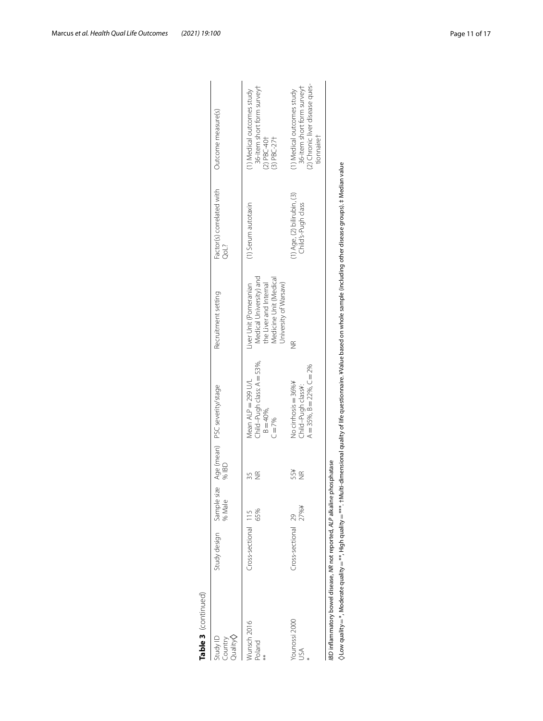| Table 3 (continued)                                                      |                          |        |                  |                                                                                  |                                                                                                                                                                                                                 |                                                         |                                                                                                           |
|--------------------------------------------------------------------------|--------------------------|--------|------------------|----------------------------------------------------------------------------------|-----------------------------------------------------------------------------------------------------------------------------------------------------------------------------------------------------------------|---------------------------------------------------------|-----------------------------------------------------------------------------------------------------------|
| $Quality \diamond$<br>Study ID<br>Country                                | Study design Sample size | % Male | % IBD            | Age (mean) PSC severity/stage                                                    | Recruitment setting                                                                                                                                                                                             | Factor(s) correlated with<br>QoL?                       | Outcome measure(s)                                                                                        |
| Munsch 2016<br>Poland                                                    | Cross-sectional 115      | 65%    | ₩                | Child-Pugh class: A = 53%,<br>Mean ALP = 299 U/L<br>$B = 40\%$ ,<br>$C = 7%$     | Medical University) and<br>Medicine Unit (Medical<br>the Liver and Internal<br>University of Warsaw)<br>iver Unit (Pomeranian                                                                                   | (1) Serum autotaxin                                     | 36-item short form surveyt<br>(1) Medical outcomes study<br>$(2)$ PBC-40†<br>$(3)$ PBC-27†                |
| /ounossi 2000<br>SÁ                                                      | Cross-sectional 29       | 17%¥   | ¥SS<br><b>SE</b> | $A = 35\%$ , $B = 22\%$ , $C = 2\%$<br>No cirrhosis = 36%¥<br>Child-Pugh class¥: | JR                                                                                                                                                                                                              | $(1)$ Age, $(2)$ bilirubin, $(3)$<br>Child's-Pugh class | (2) Chronic liver disease ques-<br>36-item short form surveyt<br>(1) Medical outcomes study<br>tionnairet |
| BD inflammatory bowel disease, NR not reported, ALP alkaline phosphatase |                          |        |                  |                                                                                  | $\Diamond$ Low quality $=$ **, Moderate quality $=$ ***, thigh quality $=$ ***. tMulti-dimensional quality of life questionnaire. ¥Value based on whole sample (including other disease groups). # Median value |                                                         |                                                                                                           |

Table 3 (continued)

 $\Diamond$ Low quality = \*, Moderate quality = \*\*, High quality = \*\*\*. +Multi-dimensional quality of life questionnaire. ¥Value based on whole sample (including other disease groups). ‡ Median value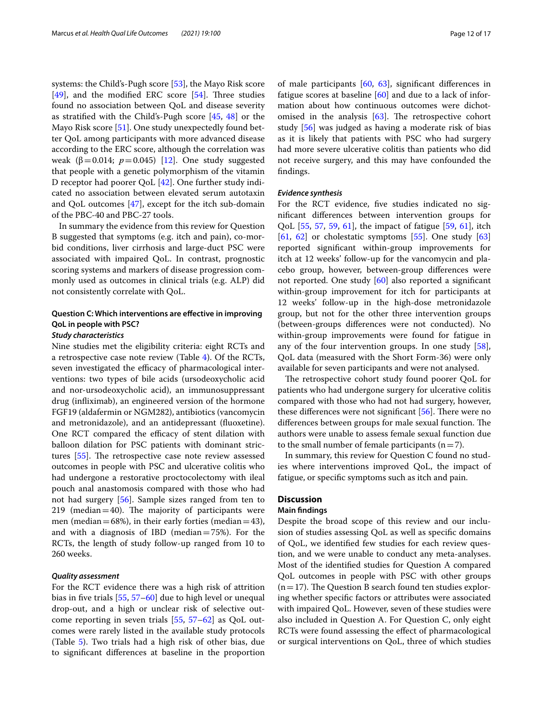systems: the Child's-Pugh score [[53\]](#page-16-18), the Mayo Risk score  $[49]$  $[49]$ , and the modified ERC score  $[54]$ . Three studies found no association between QoL and disease severity as stratifed with the Child's-Pugh score [\[45](#page-16-9), [48\]](#page-16-12) or the Mayo Risk score [\[51\]](#page-16-16). One study unexpectedly found better QoL among participants with more advanced disease according to the ERC score, although the correlation was weak (β=0.014;  $p=0.045$ ) [[12\]](#page-15-11). One study suggested that people with a genetic polymorphism of the vitamin D receptor had poorer QoL [\[42](#page-16-5)]. One further study indicated no association between elevated serum autotaxin and QoL outcomes [\[47\]](#page-16-7), except for the itch sub-domain of the PBC-40 and PBC-27 tools.

In summary the evidence from this review for Question B suggested that symptoms (e.g. itch and pain), co-morbid conditions, liver cirrhosis and large-duct PSC were associated with impaired QoL. In contrast, prognostic scoring systems and markers of disease progression commonly used as outcomes in clinical trials (e.g. ALP) did not consistently correlate with QoL.

# **Question C: Which interventions are efective in improving QoL in people with PSC?**

# *Study characteristics*

Nine studies met the eligibility criteria: eight RCTs and a retrospective case note review (Table [4](#page-12-0)). Of the RCTs, seven investigated the efficacy of pharmacological interventions: two types of bile acids (ursodeoxycholic acid and nor-ursodeoxycholic acid), an immunosuppressant drug (infiximab), an engineered version of the hormone FGF19 (aldafermin or NGM282), antibiotics (vancomycin and metronidazole), and an antidepressant (fuoxetine). One RCT compared the efficacy of stent dilation with balloon dilation for PSC patients with dominant strictures  $[55]$  $[55]$  $[55]$ . The retrospective case note review assessed outcomes in people with PSC and ulcerative colitis who had undergone a restorative proctocolectomy with ileal pouch anal anastomosis compared with those who had not had surgery [[56\]](#page-16-21). Sample sizes ranged from ten to 219 (median  $=40$ ). The majority of participants were men (median=68%), in their early forties (median=43), and with a diagnosis of IBD (median=75%). For the RCTs, the length of study follow-up ranged from 10 to 260 weeks.

# *Quality assessment*

For the RCT evidence there was a high risk of attrition bias in fve trials [[55](#page-16-20), [57](#page-16-22)–[60\]](#page-16-23) due to high level or unequal drop-out, and a high or unclear risk of selective outcome reporting in seven trials [[55,](#page-16-20) [57–](#page-16-22)[62](#page-16-24)] as QoL outcomes were rarely listed in the available study protocols (Table [5](#page-13-0)). Two trials had a high risk of other bias, due to signifcant diferences at baseline in the proportion of male participants [\[60](#page-16-23), [63\]](#page-16-25), signifcant diferences in fatigue scores at baseline [[60\]](#page-16-23) and due to a lack of information about how continuous outcomes were dichotomised in the analysis  $[63]$  $[63]$  $[63]$ . The retrospective cohort study [\[56](#page-16-21)] was judged as having a moderate risk of bias as it is likely that patients with PSC who had surgery had more severe ulcerative colitis than patients who did not receive surgery, and this may have confounded the fndings.

# *Evidence synthesis*

For the RCT evidence, fve studies indicated no signifcant diferences between intervention groups for QoL [[55,](#page-16-20) [57](#page-16-22), [59,](#page-16-26) [61\]](#page-16-27), the impact of fatigue [[59,](#page-16-26) [61](#page-16-27)], itch  $[61, 62]$  $[61, 62]$  $[61, 62]$  $[61, 62]$  $[61, 62]$  or cholestatic symptoms  $[55]$  $[55]$ . One study  $[63]$  $[63]$  $[63]$ reported signifcant within-group improvements for itch at 12 weeks' follow-up for the vancomycin and placebo group, however, between-group diferences were not reported. One study [\[60](#page-16-23)] also reported a signifcant within-group improvement for itch for participants at 12 weeks' follow-up in the high-dose metronidazole group, but not for the other three intervention groups (between-groups diferences were not conducted). No within-group improvements were found for fatigue in any of the four intervention groups. In one study [\[58](#page-16-28)], QoL data (measured with the Short Form-36) were only available for seven participants and were not analysed.

The retrospective cohort study found poorer QoL for patients who had undergone surgery for ulcerative colitis compared with those who had not had surgery, however, these differences were not significant  $[56]$ . There were no differences between groups for male sexual function. The authors were unable to assess female sexual function due to the small number of female participants  $(n=7)$ .

In summary, this review for Question C found no studies where interventions improved QoL, the impact of fatigue, or specifc symptoms such as itch and pain.

# **Discussion**

# **Main fndings**

Despite the broad scope of this review and our inclusion of studies assessing QoL as well as specifc domains of QoL, we identifed few studies for each review question, and we were unable to conduct any meta-analyses. Most of the identifed studies for Question A compared QoL outcomes in people with PSC with other groups  $(n=17)$ . The Question B search found ten studies exploring whether specifc factors or attributes were associated with impaired QoL. However, seven of these studies were also included in Question A. For Question C, only eight RCTs were found assessing the efect of pharmacological or surgical interventions on QoL, three of which studies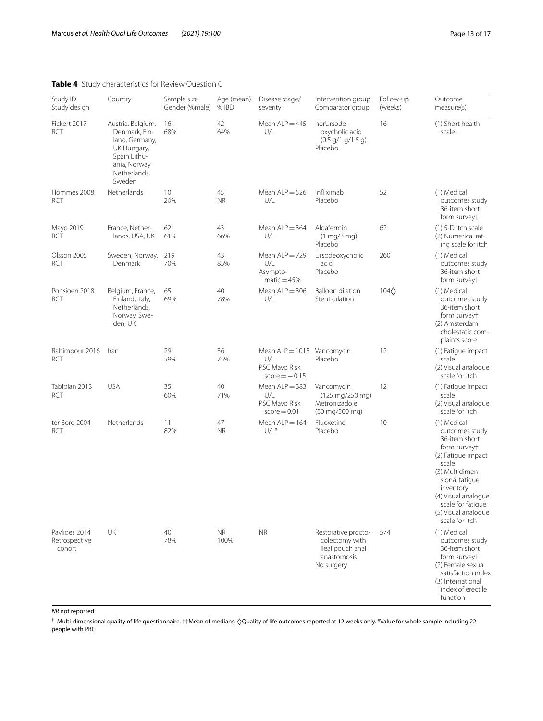# <span id="page-12-0"></span>**Table 4** Study characteristics for Review Question C

| Study ID<br>Study design                 | Country                                                                                                                       | Sample size<br>Gender (%male) | Age (mean)<br>% IBD | Disease stage/<br>severity                                            | Intervention group<br>Comparator group                                                 | Follow-up<br>(weeks) | Outcome<br>measure(s)                                                                                                                                                                                                                |
|------------------------------------------|-------------------------------------------------------------------------------------------------------------------------------|-------------------------------|---------------------|-----------------------------------------------------------------------|----------------------------------------------------------------------------------------|----------------------|--------------------------------------------------------------------------------------------------------------------------------------------------------------------------------------------------------------------------------------|
| Fickert 2017<br><b>RCT</b>               | Austria, Belgium,<br>Denmark, Fin-<br>land, Germany,<br>UK Hungary,<br>Spain Lithu-<br>ania, Norway<br>Netherlands,<br>Sweden | 161<br>68%                    | 42<br>64%           | Mean $ALP = 445$<br>U/L                                               | norUrsode-<br>oxycholic acid<br>$(0.5$ g/1 g/1.5 g)<br>Placebo                         | 16                   | (1) Short health<br>scale <sup>+</sup>                                                                                                                                                                                               |
| Hommes 2008<br><b>RCT</b>                | Netherlands                                                                                                                   | 10<br>20%                     | 45<br><b>NR</b>     | Mean $ALP = 526$<br>U/L                                               | Infliximab<br>Placebo                                                                  | 52                   | (1) Medical<br>outcomes study<br>36-item short<br>form surveyt                                                                                                                                                                       |
| Mayo 2019<br><b>RCT</b>                  | France, Nether-<br>lands, USA, UK                                                                                             | 62<br>61%                     | 43<br>66%           | Mean $ALP = 364$<br>U/L                                               | Aldafermin<br>$(1 \text{ mg}/3 \text{ mg})$<br>Placebo                                 | 62                   | $(1)$ 5-D itch scale<br>(2) Numerical rat-<br>ing scale for itch                                                                                                                                                                     |
| Olsson 2005<br>RCT                       | Sweden, Norway,<br>Denmark                                                                                                    | 219<br>70%                    | 43<br>85%           | Mean ALP=729<br>U/L<br>Asympto-<br>$matic = 45%$                      | Ursodeoxycholic<br>acid<br>Placebo                                                     | 260                  | (1) Medical<br>outcomes study<br>36-item short<br>form surveyt                                                                                                                                                                       |
| Ponsioen 2018<br><b>RCT</b>              | Belgium, France,<br>Finland, Italy,<br>Netherlands,<br>Norway, Swe-<br>den, UK                                                | 65<br>69%                     | 40<br>78%           | Mean $ALP = 306$<br>U/L                                               | <b>Balloon dilation</b><br>Stent dilation                                              | $104\Diamond$        | (1) Medical<br>outcomes study<br>36-item short<br>form surveyt<br>(2) Amsterdam<br>cholestatic com-<br>plaints score                                                                                                                 |
| Rahimpour 2016<br>RCT                    | Iran                                                                                                                          | 29<br>59%                     | 36<br>75%           | Mean ALP = 1015 Vancomycin<br>U/L<br>PSC Mayo Risk<br>$score = -0.15$ | Placebo                                                                                | 12                   | (1) Fatigue impact<br>scale<br>(2) Visual analogue<br>scale for itch                                                                                                                                                                 |
| Tabibian 2013<br>RCT                     | <b>USA</b>                                                                                                                    | 35<br>60%                     | 40<br>71%           | Mean ALP = 383<br>U/L<br>PSC Mayo Risk<br>$score = 0.01$              | Vancomycin<br>$(125 \text{ mg}/250 \text{ mg})$<br>Metronizadole<br>(50 mg/500 mg)     | 12                   | (1) Fatique impact<br>scale<br>(2) Visual analogue<br>scale for itch                                                                                                                                                                 |
| ter Borg 2004<br>RCT                     | Netherlands                                                                                                                   | 11<br>82%                     | 47<br><b>NR</b>     | Mean $ALP = 164$<br>$U/L^*$                                           | Fluoxetine<br>Placebo                                                                  | 10                   | (1) Medical<br>outcomes study<br>36-item short<br>form surveyt<br>(2) Fatique impact<br>scale<br>(3) Multidimen-<br>sional fatique<br>inventory<br>(4) Visual analogue<br>scale for fatigue<br>(5) Visual analogue<br>scale for itch |
| Pavlides 2014<br>Retrospective<br>cohort | UK                                                                                                                            | 40<br>78%                     | <b>NR</b><br>100%   | <b>NR</b>                                                             | Restorative procto-<br>colectomy with<br>ileal pouch anal<br>anastomosis<br>No surgery | 574                  | (1) Medical<br>outcomes study<br>36-item short<br>form surveyt<br>(2) Female sexual<br>satisfaction index<br>(3) International<br>index of erectile<br>function                                                                      |

*NR* not reported

† Multi-dimensional quality of life questionnaire. ††Mean of medians. ◊Quality of life outcomes reported at 12 weeks only. \*Value for whole sample including 22 people with PBC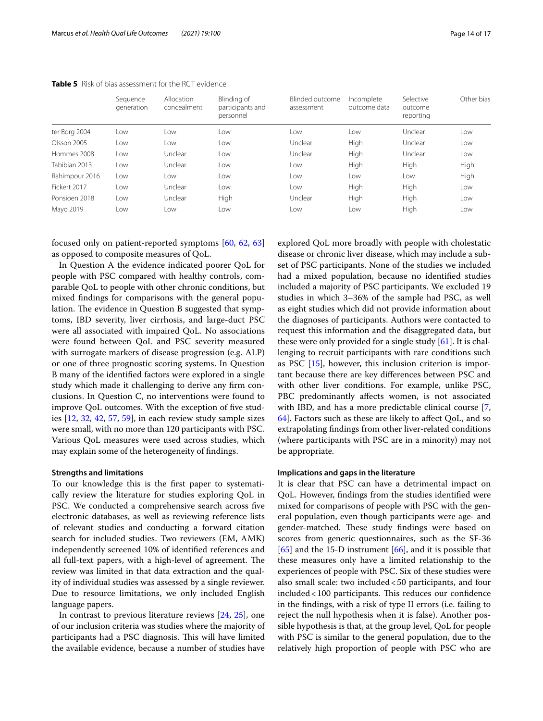|                | Sequence<br>generation | Allocation<br>concealment | Blinding of<br>participants and<br>personnel | Blinded outcome<br>assessment | Incomplete<br>outcome data | Selective<br>outcome<br>reporting | Other bias |
|----------------|------------------------|---------------------------|----------------------------------------------|-------------------------------|----------------------------|-----------------------------------|------------|
| ter Borg 2004  | Low                    | Low                       | Low                                          | Low                           | Low                        | Unclear                           | Low        |
| Olsson 2005    | Low                    | Low                       | l ow                                         | Unclear                       | High                       | Unclear                           | Low        |
| Hommes 2008    | Low                    | Unclear                   | Low                                          | Unclear                       | High                       | Unclear                           | Low        |
| Tabibian 2013  | Low                    | Unclear                   | Low                                          | Low                           | High                       | High                              | High       |
| Rahimpour 2016 | LOW                    | Low                       | Low                                          | Low                           | Low                        | Low                               | High       |
| Fickert 2017   | Low                    | Unclear                   | Low                                          | Low                           | High                       | High                              | Low        |
| Ponsioen 2018  | Low                    | Unclear                   | High                                         | Unclear                       | High                       | High                              | Low        |
| Mayo 2019      | Low                    | Low                       | Low                                          | Low                           | Low                        | High                              | Low        |

<span id="page-13-0"></span>**Table 5** Risk of bias assessment for the RCT evidence

focused only on patient-reported symptoms [[60](#page-16-23), [62,](#page-16-24) [63](#page-16-25)] as opposed to composite measures of QoL.

In Question A the evidence indicated poorer QoL for people with PSC compared with healthy controls, comparable QoL to people with other chronic conditions, but mixed fndings for comparisons with the general population. The evidence in Question B suggested that symptoms, IBD severity, liver cirrhosis, and large-duct PSC were all associated with impaired QoL. No associations were found between QoL and PSC severity measured with surrogate markers of disease progression (e.g. ALP) or one of three prognostic scoring systems. In Question B many of the identifed factors were explored in a single study which made it challenging to derive any frm conclusions. In Question C, no interventions were found to improve QoL outcomes. With the exception of fve studies [[12,](#page-15-11) [32,](#page-15-31) [42,](#page-16-5) [57,](#page-16-22) [59\]](#page-16-26), in each review study sample sizes were small, with no more than 120 participants with PSC. Various QoL measures were used across studies, which may explain some of the heterogeneity of fndings.

# **Strengths and limitations**

To our knowledge this is the frst paper to systematically review the literature for studies exploring QoL in PSC. We conducted a comprehensive search across five electronic databases, as well as reviewing reference lists of relevant studies and conducting a forward citation search for included studies. Two reviewers (EM, AMK) independently screened 10% of identifed references and all full-text papers, with a high-level of agreement. The review was limited in that data extraction and the quality of individual studies was assessed by a single reviewer. Due to resource limitations, we only included English language papers.

In contrast to previous literature reviews [[24,](#page-15-23) [25\]](#page-15-24), one of our inclusion criteria was studies where the majority of participants had a PSC diagnosis. This will have limited the available evidence, because a number of studies have explored QoL more broadly with people with cholestatic disease or chronic liver disease, which may include a subset of PSC participants. None of the studies we included had a mixed population, because no identifed studies included a majority of PSC participants. We excluded 19 studies in which 3–36% of the sample had PSC, as well as eight studies which did not provide information about the diagnoses of participants. Authors were contacted to request this information and the disaggregated data, but these were only provided for a single study [\[61](#page-16-27)]. It is challenging to recruit participants with rare conditions such as PSC [\[15](#page-15-14)], however, this inclusion criterion is important because there are key diferences between PSC and with other liver conditions. For example, unlike PSC, PBC predominantly affects women, is not associated with IBD, and has a more predictable clinical course [\[7](#page-15-6), [64\]](#page-16-29). Factors such as these are likely to afect QoL, and so extrapolating fndings from other liver-related conditions (where participants with PSC are in a minority) may not be appropriate.

# **Implications and gaps in the literature**

It is clear that PSC can have a detrimental impact on QoL. However, fndings from the studies identifed were mixed for comparisons of people with PSC with the general population, even though participants were age- and gender-matched. These study findings were based on scores from generic questionnaires, such as the SF-36  $[65]$  $[65]$  and the 15-D instrument  $[66]$  $[66]$  $[66]$ , and it is possible that these measures only have a limited relationship to the experiences of people with PSC. Six of these studies were also small scale: two included<50 participants, and four included <100 participants. This reduces our confidence in the fndings, with a risk of type II errors (i.e. failing to reject the null hypothesis when it is false). Another possible hypothesis is that, at the group level, QoL for people with PSC is similar to the general population, due to the relatively high proportion of people with PSC who are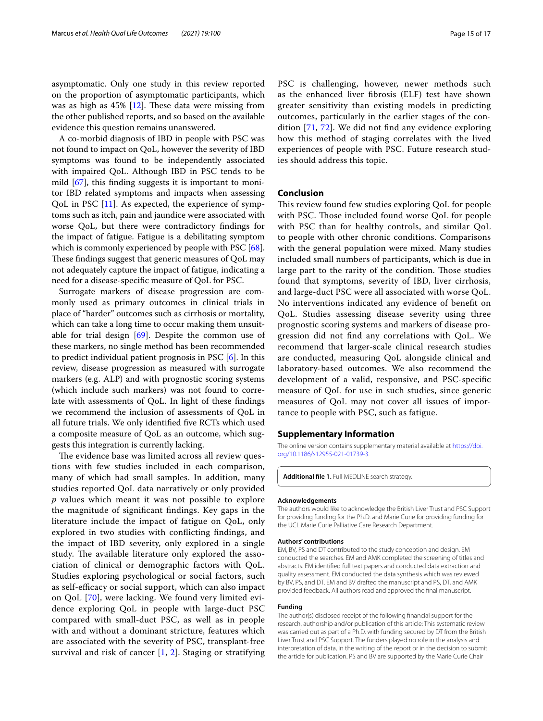asymptomatic. Only one study in this review reported on the proportion of asymptomatic participants, which was as high as  $45\%$  [\[12\]](#page-15-11). These data were missing from the other published reports, and so based on the available evidence this question remains unanswered.

A co-morbid diagnosis of IBD in people with PSC was not found to impact on QoL, however the severity of IBD symptoms was found to be independently associated with impaired QoL. Although IBD in PSC tends to be mild [\[67\]](#page-16-32), this fnding suggests it is important to monitor IBD related symptoms and impacts when assessing QoL in PSC [\[11](#page-15-10)]. As expected, the experience of symptoms such as itch, pain and jaundice were associated with worse QoL, but there were contradictory fndings for the impact of fatigue. Fatigue is a debilitating symptom which is commonly experienced by people with PSC [\[68](#page-16-33)]. These findings suggest that generic measures of QoL may not adequately capture the impact of fatigue, indicating a need for a disease-specifc measure of QoL for PSC.

Surrogate markers of disease progression are commonly used as primary outcomes in clinical trials in place of "harder" outcomes such as cirrhosis or mortality, which can take a long time to occur making them unsuitable for trial design  $[69]$  $[69]$ . Despite the common use of these markers, no single method has been recommended to predict individual patient prognosis in PSC [\[6\]](#page-15-5). In this review, disease progression as measured with surrogate markers (e.g. ALP) and with prognostic scoring systems (which include such markers) was not found to correlate with assessments of QoL. In light of these fndings we recommend the inclusion of assessments of QoL in all future trials. We only identifed fve RCTs which used a composite measure of QoL as an outcome, which suggests this integration is currently lacking.

The evidence base was limited across all review questions with few studies included in each comparison, many of which had small samples. In addition, many studies reported QoL data narratively or only provided *p* values which meant it was not possible to explore the magnitude of signifcant fndings. Key gaps in the literature include the impact of fatigue on QoL, only explored in two studies with conficting fndings, and the impact of IBD severity, only explored in a single study. The available literature only explored the association of clinical or demographic factors with QoL. Studies exploring psychological or social factors, such as self-efficacy or social support, which can also impact on QoL [\[70](#page-16-35)], were lacking. We found very limited evidence exploring QoL in people with large-duct PSC compared with small-duct PSC, as well as in people with and without a dominant stricture, features which are associated with the severity of PSC, transplant-free survival and risk of cancer [\[1](#page-15-0), [2\]](#page-15-1). Staging or stratifying PSC is challenging, however, newer methods such as the enhanced liver fbrosis (ELF) test have shown greater sensitivity than existing models in predicting outcomes, particularly in the earlier stages of the condition [\[71](#page-16-36), [72\]](#page-16-37). We did not fnd any evidence exploring how this method of staging correlates with the lived experiences of people with PSC. Future research studies should address this topic.

# **Conclusion**

This review found few studies exploring QoL for people with PSC. Those included found worse QoL for people with PSC than for healthy controls, and similar QoL to people with other chronic conditions. Comparisons with the general population were mixed. Many studies included small numbers of participants, which is due in large part to the rarity of the condition. Those studies found that symptoms, severity of IBD, liver cirrhosis, and large-duct PSC were all associated with worse QoL. No interventions indicated any evidence of beneft on QoL. Studies assessing disease severity using three prognostic scoring systems and markers of disease progression did not fnd any correlations with QoL. We recommend that larger-scale clinical research studies are conducted, measuring QoL alongside clinical and laboratory-based outcomes. We also recommend the development of a valid, responsive, and PSC-specifc measure of QoL for use in such studies, since generic measures of QoL may not cover all issues of importance to people with PSC, such as fatigue.

## **Supplementary Information**

The online version contains supplementary material available at [https://doi.](https://doi.org/10.1186/s12955-021-01739-3) [org/10.1186/s12955-021-01739-3](https://doi.org/10.1186/s12955-021-01739-3).

<span id="page-14-0"></span>**Additional fle 1.** Full MEDLINE search strategy.

#### **Acknowledgements**

The authors would like to acknowledge the British Liver Trust and PSC Support for providing funding for the Ph.D. and Marie Curie for providing funding for the UCL Marie Curie Palliative Care Research Department.

#### **Authors' contributions**

EM, BV, PS and DT contributed to the study conception and design. EM conducted the searches. EM and AMK completed the screening of titles and abstracts. EM identifed full text papers and conducted data extraction and quality assessment. EM conducted the data synthesis which was reviewed by BV, PS, and DT. EM and BV drafted the manuscript and PS, DT, and AMK provided feedback. All authors read and approved the fnal manuscript.

#### **Funding**

The author(s) disclosed receipt of the following fnancial support for the research, authorship and/or publication of this article: This systematic review was carried out as part of a Ph.D. with funding secured by DT from the British Liver Trust and PSC Support. The funders played no role in the analysis and interpretation of data, in the writing of the report or in the decision to submit the article for publication. PS and BV are supported by the Marie Curie Chair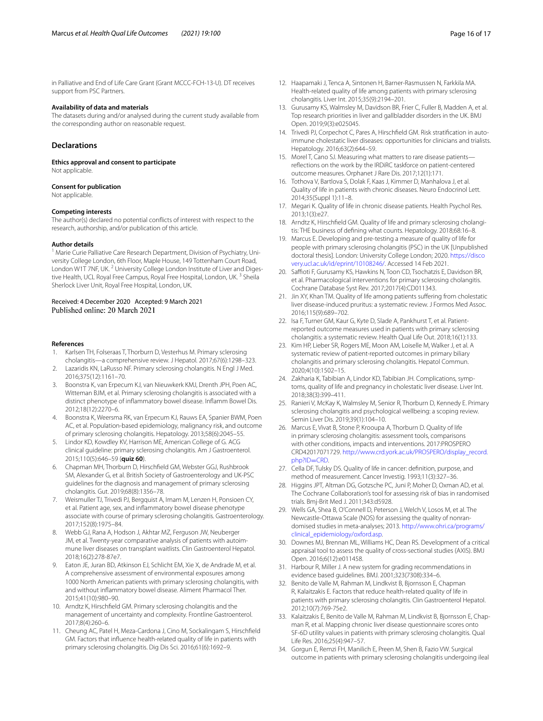in Palliative and End of Life Care Grant (Grant MCCC-FCH-13-U). DT receives support from PSC Partners.

### **Availability of data and materials**

The datasets during and/or analysed during the current study available from the corresponding author on reasonable request.

# **Declarations**

**Ethics approval and consent to participate** Not applicable.

#### **Consent for publication**

Not applicable.

#### **Competing interests**

The author(s) declared no potential conficts of interest with respect to the research, authorship, and/or publication of this article.

#### **Author details**

<sup>1</sup> Marie Curie Palliative Care Research Department, Division of Psychiatry, University College London, 6th Floor, Maple House, 149 Tottenham Court Road, London W1T 7NF, UK.<sup>2</sup> University College London Institute of Liver and Digestive Health, UCL Royal Free Campus, Royal Free Hospital, London, UK.<sup>3</sup> Sheila Sherlock Liver Unit, Royal Free Hospital, London, UK.

# Received: 4 December 2020 Accepted: 9 March 2021

#### **References**

- <span id="page-15-0"></span>1. Karlsen TH, Folseraas T, Thorburn D, Vesterhus M. Primary sclerosing cholangitis—a comprehensive review. J Hepatol. 2017;67(6):1298–323.
- <span id="page-15-1"></span>2. Lazaridis KN, LaRusso NF. Primary sclerosing cholangitis. N Engl J Med. 2016;375(12):1161–70.
- <span id="page-15-2"></span>3. Boonstra K, van Erpecum KJ, van Nieuwkerk KMJ, Drenth JPH, Poen AC, Witteman BJM, et al. Primary sclerosing cholangitis is associated with a distinct phenotype of infammatory bowel disease. Infamm Bowel Dis. 2012;18(12):2270–6.
- <span id="page-15-3"></span>4. Boonstra K, Weersma RK, van Erpecum KJ, Rauws EA, Spanier BWM, Poen AC, et al. Population-based epidemiology, malignancy risk, and outcome of primary sclerosing cholangitis. Hepatology. 2013;58(6):2045–55.
- <span id="page-15-4"></span>5. Lindor KD, Kowdley KV, Harrison ME, American College of G. ACG clinical guideline: primary sclerosing cholangitis. Am J Gastroenterol. 2015;110(5):646–59 (**quiz 60**).
- <span id="page-15-5"></span>6. Chapman MH, Thorburn D, Hirschfeld GM, Webster GGJ, Rushbrook SM, Alexander G, et al. British Society of Gastroenterology and UK-PSC guidelines for the diagnosis and management of primary sclerosing cholangitis. Gut. 2019;68(8):1356–78.
- <span id="page-15-6"></span>7. Weismuller TJ, Trivedi PJ, Bergquist A, Imam M, Lenzen H, Ponsioen CY, et al. Patient age, sex, and infammatory bowel disease phenotype associate with course of primary sclerosing cholangitis. Gastroenterology. 2017;152(8):1975–84.
- <span id="page-15-7"></span>8. Webb GJ, Rana A, Hodson J, Akhtar MZ, Ferguson JW, Neuberger JM, et al. Twenty-year comparative analysis of patients with autoimmune liver diseases on transplant waitlists. Clin Gastroenterol Hepatol. 2018;16(2):278-87e7.
- <span id="page-15-8"></span>9. Eaton JE, Juran BD, Atkinson EJ, Schlicht EM, Xie X, de Andrade M, et al. A comprehensive assessment of environmental exposures among 1000 North American patients with primary sclerosing cholangitis, with and without infammatory bowel disease. Aliment Pharmacol Ther. 2015;41(10):980–90.
- <span id="page-15-9"></span>10. Arndtz K, Hirschfeld GM. Primary sclerosing cholangitis and the management of uncertainty and complexity. Frontline Gastroenterol. 2017;8(4):260–6.
- <span id="page-15-10"></span>11. Cheung AC, Patel H, Meza-Cardona J, Cino M, Sockalingam S, Hirschfeld GM. Factors that infuence health-related quality of life in patients with primary sclerosing cholangitis. Dig Dis Sci. 2016;61(6):1692–9.
- <span id="page-15-11"></span>12. Haapamaki J, Tenca A, Sintonen H, Barner-Rasmussen N, Farkkila MA. Health-related quality of life among patients with primary sclerosing cholangitis. Liver Int. 2015;35(9):2194–201.
- <span id="page-15-12"></span>13. Gurusamy KS, Walmsley M, Davidson BR, Frier C, Fuller B, Madden A, et al. Top research priorities in liver and gallbladder disorders in the UK. BMJ Open. 2019;9(3):e025045.
- <span id="page-15-13"></span>14. Trivedi PJ, Corpechot C, Pares A, Hirschfield GM. Risk stratification in autoimmune cholestatic liver diseases: opportunities for clinicians and trialists. Hepatology. 2016;63(2):644–59.
- <span id="page-15-14"></span>15. Morel T, Cano SJ. Measuring what matters to rare disease patients refections on the work by the IRDiRC taskforce on patient-centered outcome measures. Orphanet J Rare Dis. 2017;12(1):171.
- <span id="page-15-15"></span>16. Tothova V, Bartlova S, Dolak F, Kaas J, Kimmer D, Manhalova J, et al. Quality of life in patients with chronic diseases. Neuro Endocrinol Lett. 2014;35(Suppl 1):11–8.
- <span id="page-15-16"></span>17. Megari K. Quality of life in chronic disease patients. Health Psychol Res. 2013;1(3):e27.
- <span id="page-15-17"></span>18. Arndtz K, Hirschfield GM. Quality of life and primary sclerosing cholangitis: THE business of defning what counts. Hepatology. 2018;68:16–8.
- <span id="page-15-18"></span>19. Marcus E. Developing and pre-testing a measure of quality of life for people with primary sclerosing cholangitis (PSC) in the UK [Unpublished doctoral thesis]. London: University College London; 2020. [https://disco](https://discovery.ucl.ac.uk/id/eprint/10108246/) [very.ucl.ac.uk/id/eprint/10108246/](https://discovery.ucl.ac.uk/id/eprint/10108246/). Accessed 14 Feb 2021.
- <span id="page-15-19"></span>20. Saffioti F, Gurusamy KS, Hawkins N, Toon CD, Tsochatzis E, Davidson BR, et al. Pharmacological interventions for primary sclerosing cholangitis. Cochrane Database Syst Rev. 2017;2017(4):CD011343.
- <span id="page-15-20"></span>21. Jin XY, Khan TM. Quality of life among patients sufering from cholestatic liver disease-induced pruritus: a systematic review. J Formos Med Assoc. 2016;115(9):689–702.
- <span id="page-15-21"></span>22. Isa F, Turner GM, Kaur G, Kyte D, Slade A, Pankhurst T, et al. Patientreported outcome measures used in patients with primary sclerosing cholangitis: a systematic review. Health Qual Life Out. 2018;16(1):133.
- <span id="page-15-22"></span>23. Kim HP, Lieber SR, Rogers ME, Moon AM, Loiselle M, Walker J, et al. A systematic review of patient-reported outcomes in primary biliary cholangitis and primary sclerosing cholangitis. Hepatol Commun. 2020;4(10):1502–15.
- <span id="page-15-23"></span>24. Zakharia K, Tabibian A, Lindor KD, Tabibian JH. Complications, symptoms, quality of life and pregnancy in cholestatic liver disease. Liver Int. 2018;38(3):399–411.
- <span id="page-15-24"></span>25. Ranieri V, McKay K, Walmsley M, Senior R, Thorburn D, Kennedy E. Primary sclerosing cholangitis and psychological wellbeing: a scoping review. Semin Liver Dis. 2019;39(1):104–10.
- <span id="page-15-25"></span>26. Marcus E, Vivat B, Stone P, Krooupa A, Thorburn D. Quality of life in primary sclerosing cholangitis: assessment tools, comparisons with other conditions, impacts and interventions. 2017:PROSPERO CRD42017071729. [http://www.crd.york.ac.uk/PROSPERO/display\\_record.](http://www.crd.york.ac.uk/PROSPERO/display_record.php?ID=CRD) php?ID=CRD.
- <span id="page-15-26"></span>27. [Cella DF, Tulsk](http://www.crd.york.ac.uk/PROSPERO/display_record.php?ID=CRD)y DS. Quality of life in cancer: defnition, purpose, and method of measurement. Cancer Investig. 1993;11(3):327–36.
- <span id="page-15-27"></span>28. Higgins JPT, Altman DG, Gotzsche PC, Juni P, Moher D, Oxman AD, et al. The Cochrane Collaboration's tool for assessing risk of bias in randomised trials. Bmj-Brit Med J. 2011;343:d5928.
- <span id="page-15-28"></span>29. Wells GA, Shea B, O'Connell D, Peterson J, Welch V, Losos M, et al. The Newcastle-Ottawa Scale (NOS) for assessing the quality of nonrandomised studies in meta-analyses; 2013. [http://www.ohri.ca/programs/](http://www.ohri.ca/programs/clinical_epidemiology/oxford.asp) [clinical\\_epidemiology/oxford.asp.](http://www.ohri.ca/programs/clinical_epidemiology/oxford.asp)
- <span id="page-15-29"></span>30. Downes MJ, Brennan ML, Williams HC, Dean RS. Development of a critical appraisal tool to assess the quality of cross-sectional studies (AXIS). BMJ Open. 2016;6(12):e011458.
- <span id="page-15-30"></span>31. Harbour R, Miller J. A new system for grading recommendations in evidence based guidelines. BMJ. 2001;323(7308):334–6.
- <span id="page-15-31"></span>32. Benito de Valle M, Rahman M, Lindkvist B, Bjornsson E, Chapman R, Kalaitzakis E. Factors that reduce health-related quality of life in patients with primary sclerosing cholangitis. Clin Gastroenterol Hepatol. 2012;10(7):769-75e2.
- <span id="page-15-32"></span>33. Kalaitzakis E, Benito de Valle M, Rahman M, Lindkvist B, Bjornsson E, Chapman R, et al. Mapping chronic liver disease questionnaire scores onto SF-6D utility values in patients with primary sclerosing cholangitis. Qual Life Res. 2016;25(4):947–57.
- <span id="page-15-33"></span>34. Gorgun E, Remzi FH, Manilich E, Preen M, Shen B, Fazio VW. Surgical outcome in patients with primary sclerosing cholangitis undergoing ileal